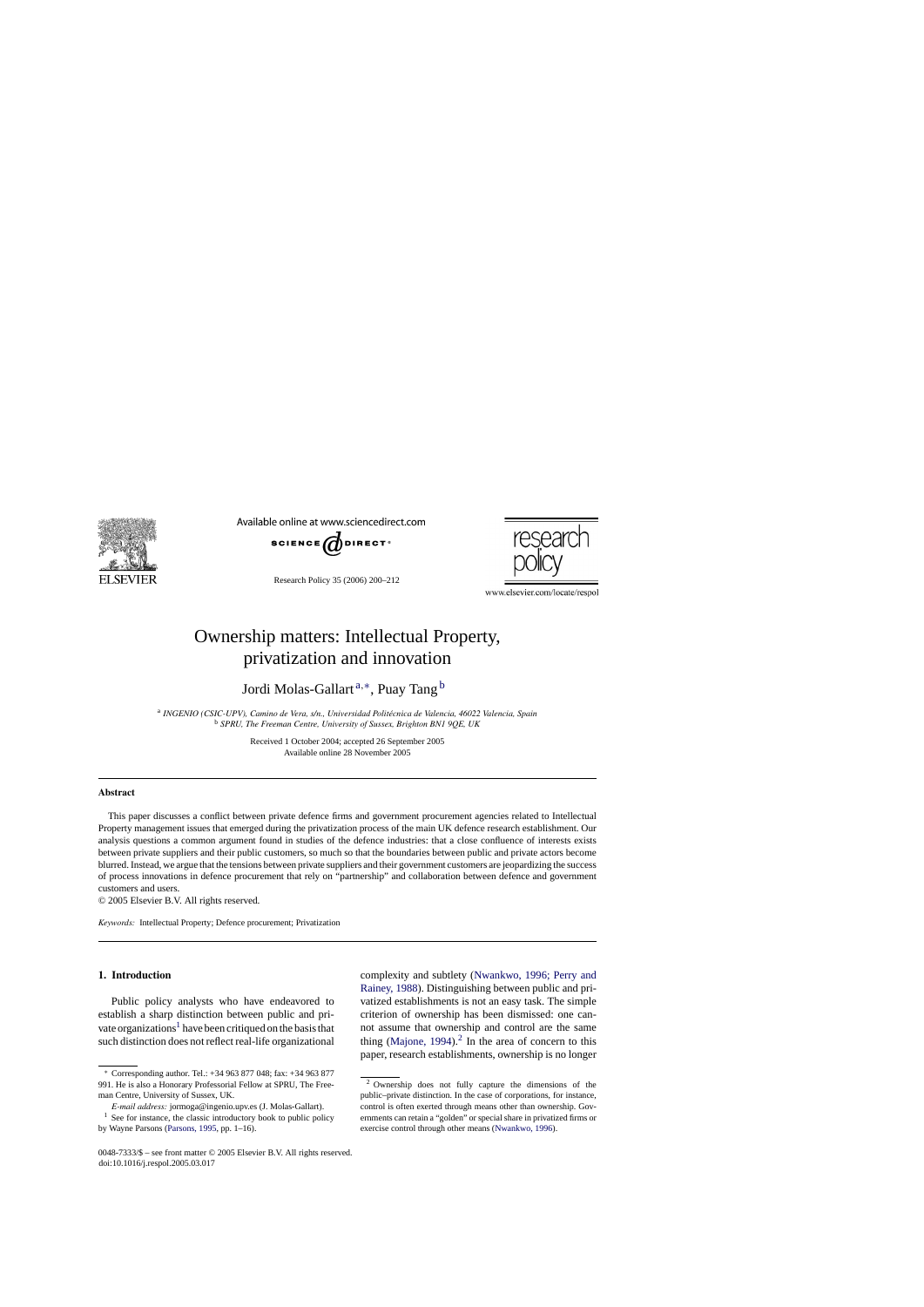

Available online at www.sciencedirect.com



Research Policy 35 (2006) 200–212



www.elsevier.com/locate/respol

## Ownership matters: Intellectual Property, privatization and innovation

Jordi Molas-Gallart <sup>a</sup>,∗, Puay Tang <sup>b</sup>

<sup>a</sup> INGENIO (CSIC-UPV), Camino de Vera, s/n., Universidad Politécnica de Valencia, 46022 Valencia, Spain <sup>b</sup> *SPRU, The Freeman Centre, University of Sussex, Brighton BN1 9QE, UK*

> Received 1 October 2004; accepted 26 September 2005 Available online 28 November 2005

## **Abstract**

This paper discusses a conflict between private defence firms and government procurement agencies related to Intellectual Property management issues that emerged during the privatization process of the main UK defence research establishment. Our analysis questions a common argument found in studies of the defence industries: that a close confluence of interests exists between private suppliers and their public customers, so much so that the boundaries between public and private actors become blurred. Instead, we argue that the tensions between private suppliers and their government customers are jeopardizing the success of process innovations in defence procurement that rely on "partnership" and collaboration between defence and government customers and users.

© 2005 Elsevier B.V. All rights reserved.

*Keywords:* Intellectual Property; Defence procurement; Privatization

## **1. Introduction**

Public policy analysts who have endeavored to establish a sharp distinction between public and private organizations<sup>1</sup> have been critiqued on the basis that such distinction does not reflect real-life organizational

*E-mail address:* jormoga@ingenio.upv.es (J. Molas-Gallart).

complexity and subtlety [\(Nwankwo, 1996; Perry and](#page--1-0) [Rainey, 1988\).](#page--1-0) Distinguishing between public and privatized establishments is not an easy task. The simple criterion of ownership has been dismissed: one cannot assume that ownership and control are the same thing (Majone,  $1994$ ).<sup>2</sup> In the area of concern to this paper, research establishments, ownership is no longer

<sup>∗</sup> Corresponding author. Tel.: +34 963 877 048; fax: +34 963 877 991. He is also a Honorary Professorial Fellow at SPRU, The Freeman Centre, University of Sussex, UK.

 $1$  See for instance, the classic introductory book to public policy by Wayne Parsons ([Parsons, 1995, p](#page--1-0)p. 1–16).

<sup>2</sup> Ownership does not fully capture the dimensions of the public–private distinction. In the case of corporations, for instance, control is often exerted through means other than ownership. Governments can retain a "golden" or special share in privatized firms or exercise control through other means [\(Nwankwo, 1996\).](#page--1-0)

<sup>0048-7333/\$ –</sup> see front matter © 2005 Elsevier B.V. All rights reserved. doi:10.1016/j.respol.2005.03.017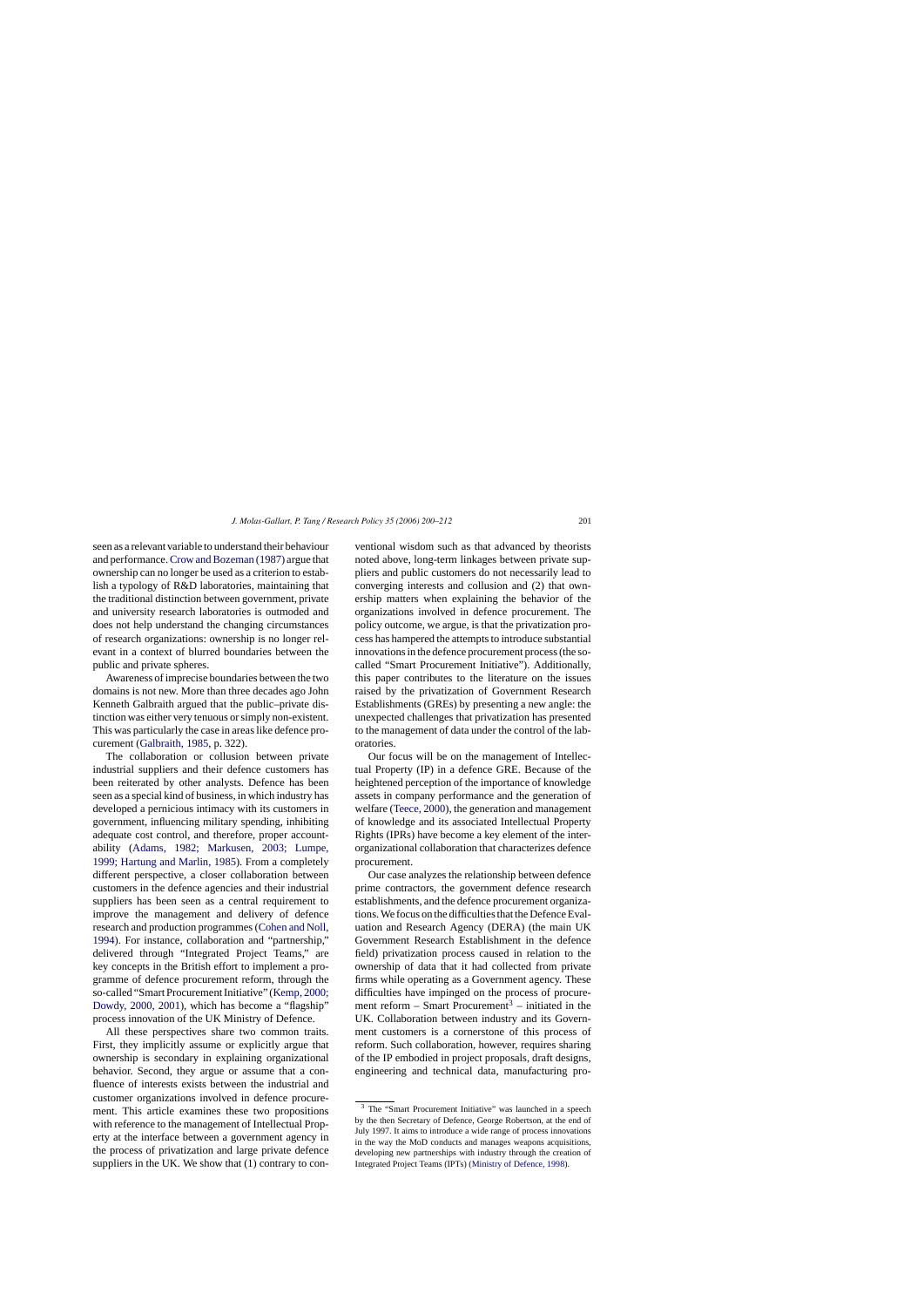seen as a relevant variable to understand their behaviour and performance.[Crow and Bozeman \(1987\)](#page--1-0) argue that ownership can no longer be used as a criterion to establish a typology of R&D laboratories, maintaining that the traditional distinction between government, private and university research laboratories is outmoded and does not help understand the changing circumstances of research organizations: ownership is no longer relevant in a context of blurred boundaries between the public and private spheres.

Awareness of imprecise boundaries between the two domains is not new. More than three decades ago John Kenneth Galbraith argued that the public–private distinction was either very tenuous or simply non-existent. This was particularly the case in areas like defence procurement ([Galbraith, 1985,](#page--1-0) p. 322).

The collaboration or collusion between private industrial suppliers and their defence customers has been reiterated by other analysts. Defence has been seen as a special kind of business, in which industry has developed a pernicious intimacy with its customers in government, influencing military spending, inhibiting adequate cost control, and therefore, proper accountability ([Adams, 1982; Markusen, 2003; Lumpe,](#page--1-0) [1999; Hartung and Marlin, 1985\).](#page--1-0) From a completely different perspective, a closer collaboration between customers in the defence agencies and their industrial suppliers has been seen as a central requirement to improve the management and delivery of defence research and production programmes ([Cohen and Noll,](#page--1-0) [1994\).](#page--1-0) For instance, collaboration and "partnership," delivered through "Integrated Project Teams," are key concepts in the British effort to implement a programme of defence procurement reform, through the so-called "Smart Procurement Initiative" [\(Kemp, 2000;](#page--1-0) [Dowdy, 2000, 2001\),](#page--1-0) which has become a "flagship" process innovation of the UK Ministry of Defence.

All these perspectives share two common traits. First, they implicitly assume or explicitly argue that ownership is secondary in explaining organizational behavior. Second, they argue or assume that a confluence of interests exists between the industrial and customer organizations involved in defence procurement. This article examines these two propositions with reference to the management of Intellectual Property at the interface between a government agency in the process of privatization and large private defence suppliers in the UK. We show that (1) contrary to conventional wisdom such as that advanced by theorists noted above, long-term linkages between private suppliers and public customers do not necessarily lead to converging interests and collusion and (2) that ownership matters when explaining the behavior of the organizations involved in defence procurement. The policy outcome, we argue, is that the privatization process has hampered the attempts to introduce substantial innovations in the defence procurement process (the socalled "Smart Procurement Initiative"). Additionally, this paper contributes to the literature on the issues raised by the privatization of Government Research Establishments (GREs) by presenting a new angle: the unexpected challenges that privatization has presented to the management of data under the control of the laboratories.

Our focus will be on the management of Intellectual Property (IP) in a defence GRE. Because of the heightened perception of the importance of knowledge assets in company performance and the generation of welfare ([Teece, 2000\),](#page--1-0) the generation and management of knowledge and its associated Intellectual Property Rights (IPRs) have become a key element of the interorganizational collaboration that characterizes defence procurement.

Our case analyzes the relationship between defence prime contractors, the government defence research establishments, and the defence procurement organizations. We focus on the difficulties that the Defence Evaluation and Research Agency (DERA) (the main UK Government Research Establishment in the defence field) privatization process caused in relation to the ownership of data that it had collected from private firms while operating as a Government agency. These difficulties have impinged on the process of procurement reform – Smart Procurement<sup>3</sup> – initiated in the UK. Collaboration between industry and its Government customers is a cornerstone of this process of reform. Such collaboration, however, requires sharing of the IP embodied in project proposals, draft designs, engineering and technical data, manufacturing pro-

<sup>3</sup> The "Smart Procurement Initiative" was launched in a speech by the then Secretary of Defence, George Robertson, at the end of July 1997. It aims to introduce a wide range of process innovations in the way the MoD conducts and manages weapons acquisitions, developing new partnerships with industry through the creation of Integrated Project Teams (IPTs) [\(Ministry of Defence, 1998\).](#page--1-0)